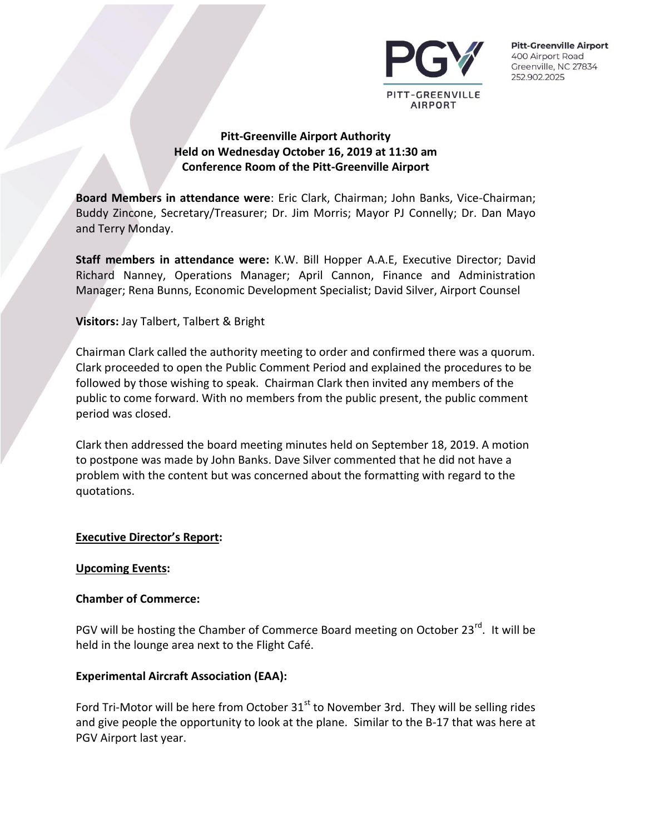

# **Pitt-Greenville Airport Authority Held on Wednesday October 16, 2019 at 11:30 am Conference Room of the Pitt-Greenville Airport**

**Board Members in attendance were**: Eric Clark, Chairman; John Banks, Vice-Chairman; Buddy Zincone, Secretary/Treasurer; Dr. Jim Morris; Mayor PJ Connelly; Dr. Dan Mayo and Terry Monday.

**Staff members in attendance were:** K.W. Bill Hopper A.A.E, Executive Director; David Richard Nanney, Operations Manager; April Cannon, Finance and Administration Manager; Rena Bunns, Economic Development Specialist; David Silver, Airport Counsel

## **Visitors:** Jay Talbert, Talbert & Bright

Chairman Clark called the authority meeting to order and confirmed there was a quorum. Clark proceeded to open the Public Comment Period and explained the procedures to be followed by those wishing to speak. Chairman Clark then invited any members of the public to come forward. With no members from the public present, the public comment period was closed.

Clark then addressed the board meeting minutes held on September 18, 2019. A motion to postpone was made by John Banks. Dave Silver commented that he did not have a problem with the content but was concerned about the formatting with regard to the quotations.

#### **Executive Director's Report:**

#### **Upcoming Events:**

#### **Chamber of Commerce:**

PGV will be hosting the Chamber of Commerce Board meeting on October 23<sup>rd</sup>. It will be held in the lounge area next to the Flight Café.

## **Experimental Aircraft Association (EAA):**

Ford Tri-Motor will be here from October  $31<sup>st</sup>$  to November 3rd. They will be selling rides and give people the opportunity to look at the plane. Similar to the B-17 that was here at PGV Airport last year.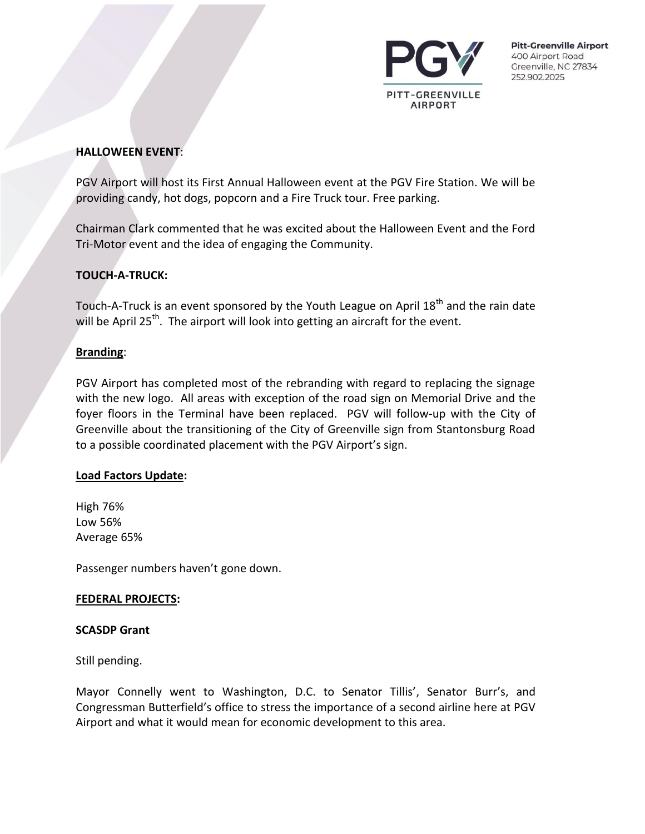

#### **HALLOWEEN EVENT**:

PGV Airport will host its First Annual Halloween event at the PGV Fire Station. We will be providing candy, hot dogs, popcorn and a Fire Truck tour. Free parking.

Chairman Clark commented that he was excited about the Halloween Event and the Ford Tri-Motor event and the idea of engaging the Community.

## **TOUCH-A-TRUCK:**

Touch-A-Truck is an event sponsored by the Youth League on April  $18^{th}$  and the rain date will be April 25<sup>th</sup>. The airport will look into getting an aircraft for the event.

#### **Branding**:

PGV Airport has completed most of the rebranding with regard to replacing the signage with the new logo. All areas with exception of the road sign on Memorial Drive and the foyer floors in the Terminal have been replaced. PGV will follow-up with the City of Greenville about the transitioning of the City of Greenville sign from Stantonsburg Road to a possible coordinated placement with the PGV Airport's sign.

#### **Load Factors Update:**

High 76% Low 56% Average 65%

Passenger numbers haven't gone down.

#### **FEDERAL PROJECTS:**

#### **SCASDP Grant**

Still pending.

Mayor Connelly went to Washington, D.C. to Senator Tillis', Senator Burr's, and Congressman Butterfield's office to stress the importance of a second airline here at PGV Airport and what it would mean for economic development to this area.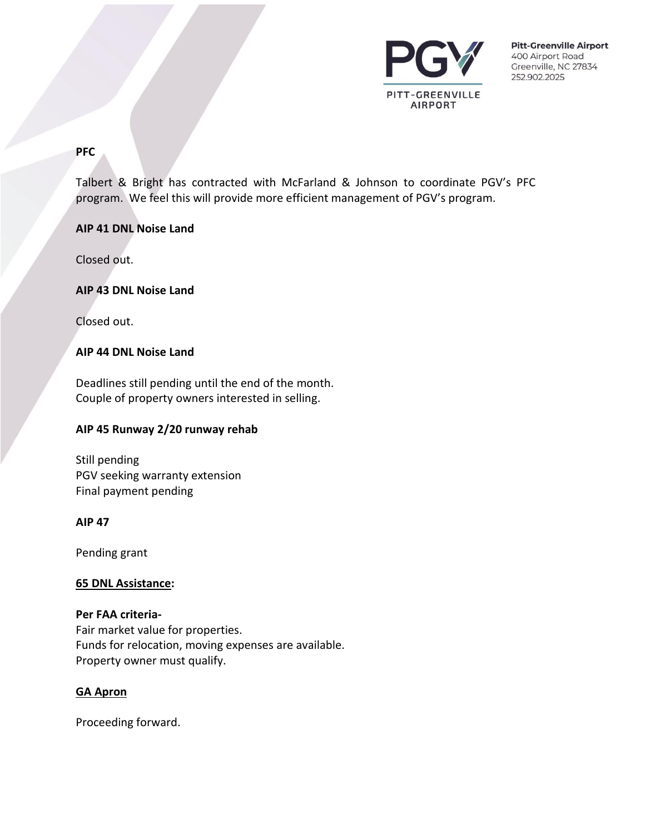

#### **PFC**

Talbert & Bright has contracted with McFarland & Johnson to coordinate PGV's PFC program. We feel this will provide more efficient management of PGV's program.

## **AIP 41 DNL Noise Land**

Closed out.

## **AIP 43 DNL Noise Land**

Closed out.

## **AIP 44 DNL Noise Land**

Deadlines still pending until the end of the month. Couple of property owners interested in selling.

#### **AIP 45 Runway 2/20 runway rehab**

Still pending PGV seeking warranty extension Final payment pending

#### **AIP 47**

Pending grant

#### **65 DNL Assistance:**

**Per FAA criteria-**Fair market value for properties. Funds for relocation, moving expenses are available. Property owner must qualify.

#### **GA Apron**

Proceeding forward.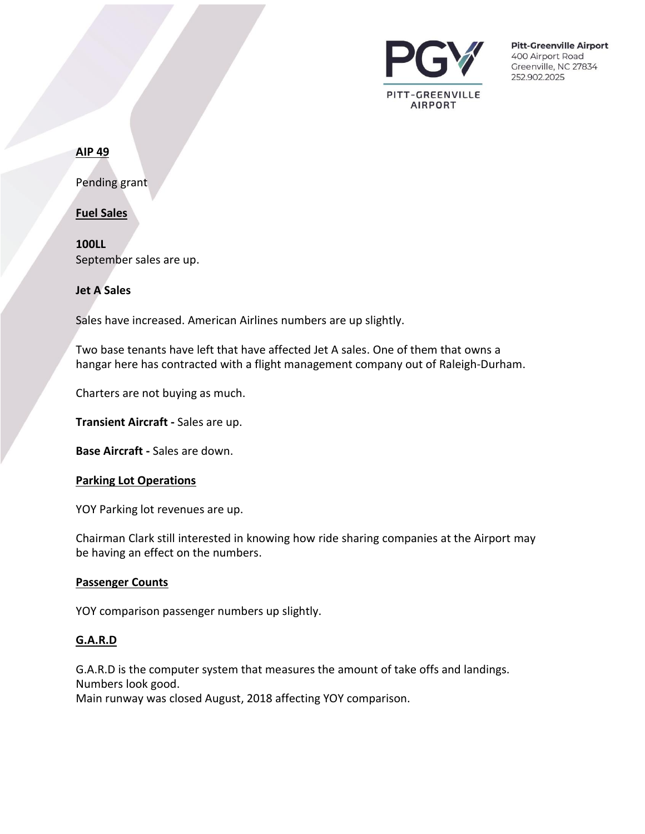

#### **AIP 49**

Pending grant

**Fuel Sales**

**100LL** September sales are up.

**Jet A Sales**

Sales have increased. American Airlines numbers are up slightly.

Two base tenants have left that have affected Jet A sales. One of them that owns a hangar here has contracted with a flight management company out of Raleigh-Durham.

Charters are not buying as much.

**Transient Aircraft -** Sales are up.

**Base Aircraft -** Sales are down.

#### **Parking Lot Operations**

YOY Parking lot revenues are up.

Chairman Clark still interested in knowing how ride sharing companies at the Airport may be having an effect on the numbers.

#### **Passenger Counts**

YOY comparison passenger numbers up slightly.

#### **G.A.R.D**

G.A.R.D is the computer system that measures the amount of take offs and landings. Numbers look good.

Main runway was closed August, 2018 affecting YOY comparison.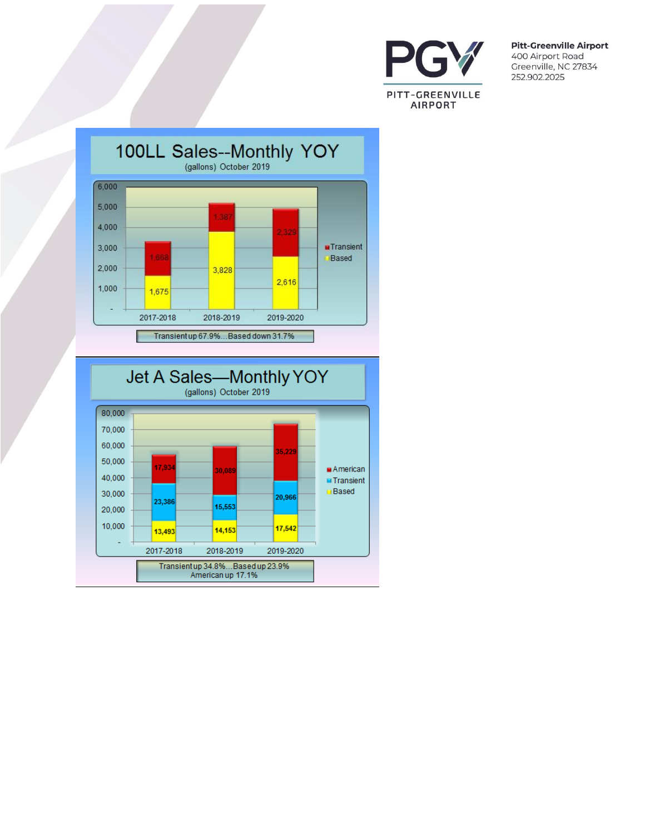



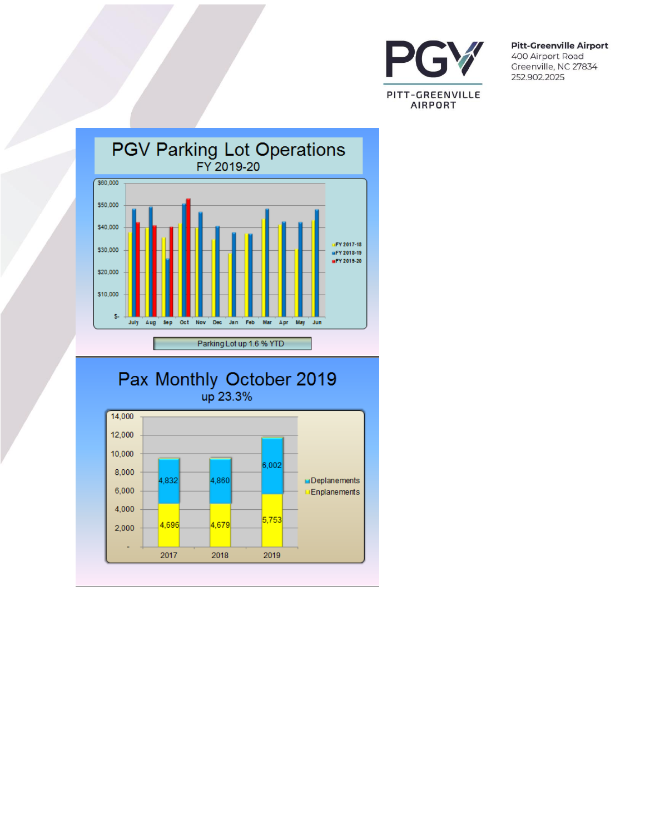



# Pax Monthly October 2019

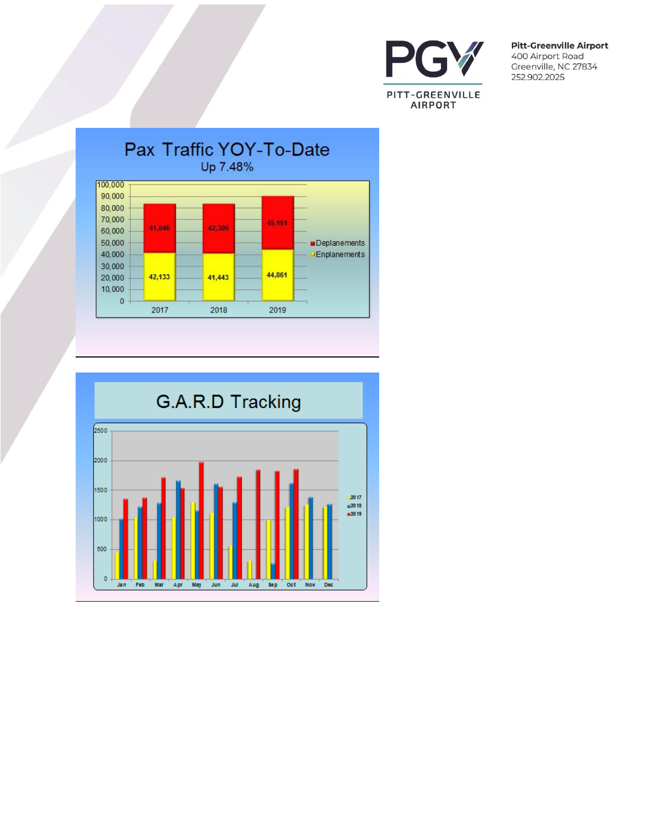



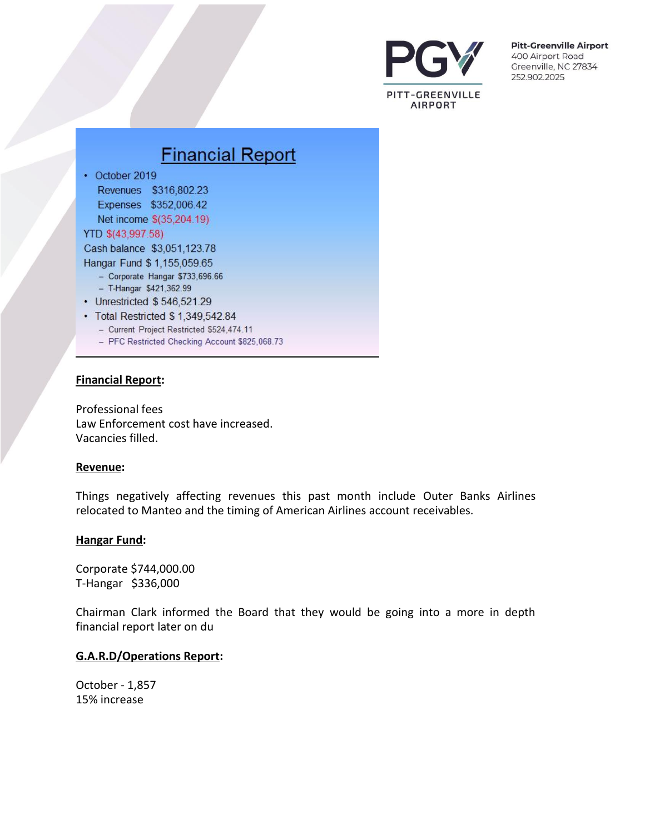

# **Financial Report** • October 2019 Revenues \$316,802.23 Expenses \$352,006.42 Net income \$(35,204.19) YTD \$(43,997.58) Cash balance \$3,051,123.78 Hangar Fund \$ 1,155,059.65 - Corporate Hangar \$733,696.66 - T-Hangar \$421,362.99 • Unrestricted \$546,521.29 • Total Restricted \$ 1,349,542.84 - Current Project Restricted \$524,474.11 - PFC Restricted Checking Account \$825,068.73

#### **Financial Report:**

Professional fees Law Enforcement cost have increased. Vacancies filled.

#### **Revenue:**

Things negatively affecting revenues this past month include Outer Banks Airlines relocated to Manteo and the timing of American Airlines account receivables.

#### **Hangar Fund:**

Corporate \$744,000.00 T-Hangar \$336,000

Chairman Clark informed the Board that they would be going into a more in depth financial report later on du

#### **G.A.R.D/Operations Report:**

October - 1,857 15% increase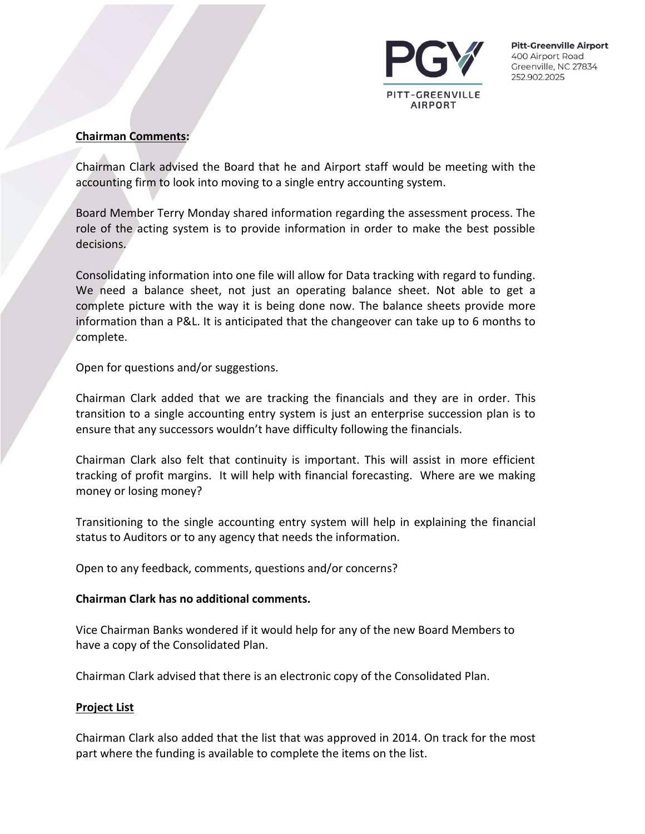

#### **Chairman Comments:**

Chairman Clark advised the Board that he and Airport staff would be meeting with the accounting firm to look into moving to a single entry accounting system.

Board Member Terry Monday shared information regarding the assessment process. The role of the acting system is to provide information in order to make the best possible decisions.

Consolidating information into one file will allow for Data tracking with regard to funding. We need a balance sheet, not just an operating balance sheet. Not able to get a complete picture with the way it is being done now. The balance sheets provide more information than a P&L. It is anticipated that the changeover can take up to 6 months to complete.

Open for questions and/or suggestions.

Chairman Clark added that we are tracking the financials and they are in order. This transition to a single accounting entry system is just an enterprise succession plan is to ensure that any successors wouldn't have difficulty following the financials.

Chairman Clark also felt that continuity is important. This will assist in more efficient tracking of profit margins. It will help with financial forecasting. Where are we making money or losing money?

Transitioning to the single accounting entry system will help in explaining the financial status to Auditors or to any agency that needs the information.

Open to any feedback, comments, questions and/or concerns?

#### **Chairman Clark has no additional comments.**

Vice Chairman Banks wondered if it would help for any of the new Board Members to have a copy of the Consolidated Plan.

Chairman Clark advised that there is an electronic copy of the Consolidated Plan.

## **Project List**

Chairman Clark also added that the list that was approved in 2014. On track for the most part where the funding is available to complete the items on the list.